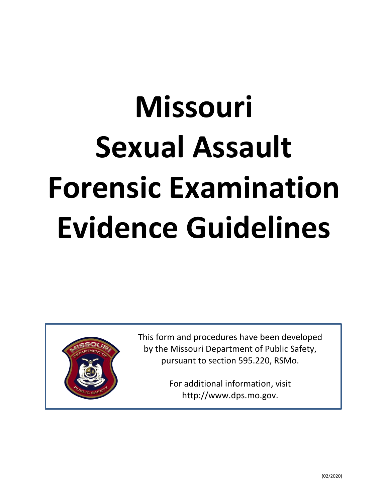# **Missouri Sexual Assault Forensic Examination Evidence Guidelines**



, by the Missouri Department of Public Safety, This form and procedures have been developed pursuant to section 595.220, RSMo.

> For additional information, visit http://www.dps.mo.gov.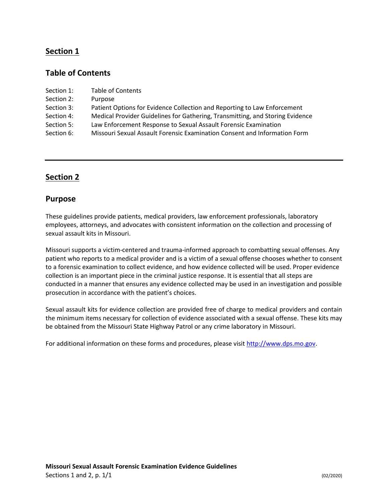#### **Table of Contents**

| Section 1: | Table of Contents                                                             |
|------------|-------------------------------------------------------------------------------|
| Section 2: | Purpose                                                                       |
| Section 3: | Patient Options for Evidence Collection and Reporting to Law Enforcement      |
| Section 4: | Medical Provider Guidelines for Gathering, Transmitting, and Storing Evidence |
| Section 5: | Law Enforcement Response to Sexual Assault Forensic Examination               |
| Section 6: | Missouri Sexual Assault Forensic Examination Consent and Information Form     |

# **Section 2**

#### **Purpose**

These guidelines provide patients, medical providers, law enforcement professionals, laboratory employees, attorneys, and advocates with consistent information on the collection and processing of sexual assault kits in Missouri.

Missouri supports a victim-centered and trauma-informed approach to combatting sexual offenses. Any patient who reports to a medical provider and is a victim of a sexual offense chooses whether to consent to a forensic examination to collect evidence, and how evidence collected will be used. Proper evidence collection is an important piece in the criminal justice response. It is essential that all steps are conducted in a manner that ensures any evidence collected may be used in an investigation and possible prosecution in accordance with the patient's choices.

Sexual assault kits for evidence collection are provided free of charge to medical providers and contain the minimum items necessary for collection of evidence associated with a sexual offense. These kits may be obtained from the Missouri State Highway Patrol or any crime laboratory in Missouri.

For additional information on these forms and procedures, please visit [http://www.dps.mo.gov.](http://www.dps.mo.gov/)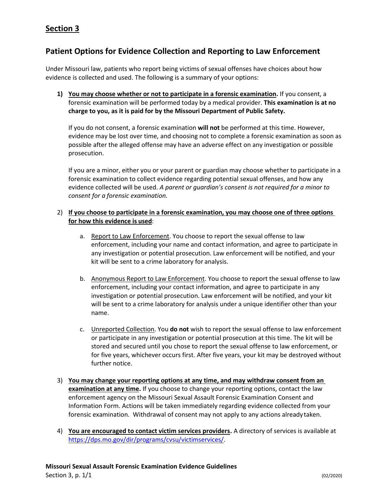#### **Patient Options for Evidence Collection and Reporting to Law Enforcement**

Under Missouri law, patients who report being victims of sexual offenses have choices about how evidence is collected and used. The following is a summary of your options:

**1) You may choose whether or not to participate in a forensic examination.** If you consent, a forensic examination will be performed today by a medical provider. **This examination is at no charge to you, as it is paid for by the Missouri Department of Public Safety.**

If you do not consent, a forensic examination **will not** be performed at this time. However, evidence may be lost over time, and choosing not to complete a forensic examination as soon as possible after the alleged offense may have an adverse effect on any investigation or possible prosecution.

If you are a minor, either you or your parent or guardian may choose whether to participate in a forensic examination to collect evidence regarding potential sexual offenses, and how any evidence collected will be used. *A parent or guardian's consent is not required for a minor to consent for a forensic examination.*

#### 2) **If you choose to participate in a forensic examination, you may choose one of three options for how this evidence is used**:

- a. Report to Law Enforcement. You choose to report the sexual offense to law enforcement, including your name and contact information, and agree to participate in any investigation or potential prosecution. Law enforcement will be notified, and your kit will be sent to a crime laboratory for analysis.
- b. Anonymous Report to Law Enforcement. You choose to report the sexual offense to law enforcement, including your contact information, and agree to participate in any investigation or potential prosecution. Law enforcement will be notified, and your kit will be sent to a crime laboratory for analysis under a unique identifier other than your name.
- c. Unreported Collection. You **do not** wish to report the sexual offense to law enforcement or participate in any investigation or potential prosecution at this time. The kit will be stored and secured until you chose to report the sexual offense to law enforcement, or for five years, whichever occurs first. After five years, your kit may be destroyed without further notice.
- 3) **You may change your reporting options at any time, and may withdraw consent from an examination at any time.** If you choose to change your reporting options, contact the law enforcement agency on the Missouri Sexual Assault Forensic Examination Consent and Information Form. Actions will be taken immediately regarding evidence collected from your forensic examination. Withdrawal of consent may not apply to any actions already taken.
- 4) **You are encouraged to contact victim services providers.** A directory of services is available at [https://dps.mo.gov/dir/programs/cvsu/victimservices/.](https://dps.mo.gov/dir/programs/cvsu/victimservices/)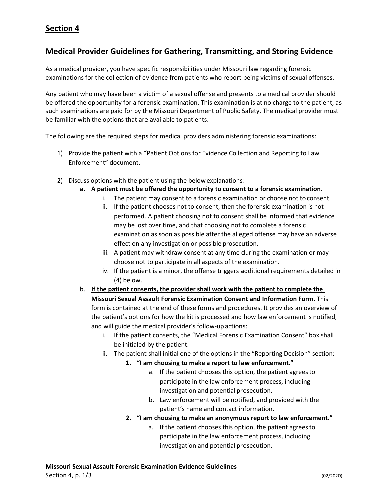#### **Medical Provider Guidelines for Gathering, Transmitting, and Storing Evidence**

As a medical provider, you have specific responsibilities under Missouri law regarding forensic examinations for the collection of evidence from patients who report being victims of sexual offenses.

Any patient who may have been a victim of a sexual offense and presents to a medical provider should be offered the opportunity for a forensic examination. This examination is at no charge to the patient, as such examinations are paid for by the Missouri Department of Public Safety. The medical provider must be familiar with the options that are available to patients.

The following are the required steps for medical providers administering forensic examinations:

- 1) Provide the patient with a "Patient Options for Evidence Collection and Reporting to Law Enforcement" document.
- 2) Discuss options with the patient using the belowexplanations:
	- **a. A patient must be offered the opportunity to consent to a forensic examination.**
		- i. The patient may consent to a forensic examination or choose not to consent.
		- ii. If the patient chooses not to consent, then the forensic examination is not performed. A patient choosing not to consent shall be informed that evidence may be lost over time, and that choosing not to complete a forensic examination as soon as possible after the alleged offense may have an adverse effect on any investigation or possible prosecution.
		- iii. A patient may withdraw consent at any time during the examination or may choose not to participate in all aspects of the examination.
		- iv. If the patient is a minor, the offense triggers additional requirements detailed in (4) below.
	- b. **If the patient consents, the provider shall work with the patient to complete the Missouri Sexual Assault Forensic Examination Consent and Information Form**. This form is contained at the end of these forms and procedures. It provides an overview of the patient's options for how the kit is processed and how law enforcement is notified, and will guide the medical provider's follow-up actions:
		- i. If the patient consents, the "Medical Forensic Examination Consent" box shall be initialed by the patient.
		- ii. The patient shall initial one of the options in the "Reporting Decision" section:
			- **1. "I am choosing to make a report to law enforcement."**
				- a. If the patient chooses this option, the patient agreesto participate in the law enforcement process, including investigation and potential prosecution.
				- b. Law enforcement will be notified, and provided with the patient's name and contact information.
				- **2. "I am choosing to make an anonymous report to law enforcement."**
					- a. If the patient chooses this option, the patient agrees to participate in the law enforcement process, including investigation and potential prosecution.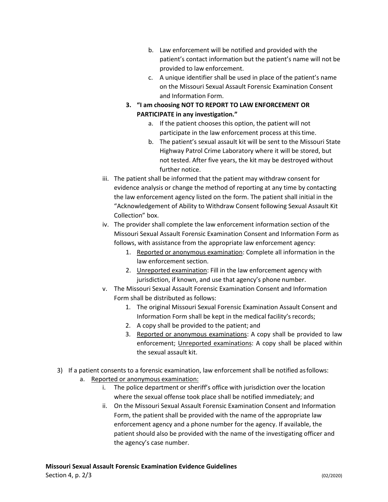- b. Law enforcement will be notified and provided with the patient's contact information but the patient's name will not be provided to law enforcement.
- c. A unique identifier shall be used in place of the patient's name on the Missouri Sexual Assault Forensic Examination Consent and Information Form.
- **3. "I am choosing NOT TO REPORT TO LAW ENFORCEMENT OR PARTICIPATE in any investigation."**
	- a. If the patient chooses this option, the patient will not participate in the law enforcement process at this time.
	- b. The patient's sexual assault kit will be sent to the Missouri State Highway Patrol Crime Laboratory where it will be stored, but not tested. After five years, the kit may be destroyed without further notice.
- iii. The patient shall be informed that the patient may withdraw consent for evidence analysis or change the method of reporting at any time by contacting the law enforcement agency listed on the form. The patient shall initial in the "Acknowledgement of Ability to Withdraw Consent following Sexual Assault Kit Collection" box.
- iv. The provider shall complete the law enforcement information section of the Missouri Sexual Assault Forensic Examination Consent and Information Form as follows, with assistance from the appropriate law enforcement agency:
	- 1. Reported or anonymous examination: Complete all information in the law enforcement section.
	- 2. Unreported examination: Fill in the law enforcement agency with jurisdiction, if known, and use that agency's phone number.
- v. The Missouri Sexual Assault Forensic Examination Consent and Information Form shall be distributed as follows:
	- 1. The original Missouri Sexual Forensic Examination Assault Consent and Information Form shall be kept in the medical facility's records;
	- 2. A copy shall be provided to the patient; and
	- 3. Reported or anonymous examinations: A copy shall be provided to law enforcement; Unreported examinations: A copy shall be placed within the sexual assault kit.
- 3) If a patient consents to a forensic examination, law enforcement shall be notified asfollows:
	- a. Reported or anonymous examination:
		- i. The police department or sheriff's office with jurisdiction over the location where the sexual offense took place shall be notified immediately; and
		- ii. On the Missouri Sexual Assault Forensic Examination Consent and Information Form, the patient shall be provided with the name of the appropriate law enforcement agency and a phone number for the agency. If available, the patient should also be provided with the name of the investigating officer and the agency's case number.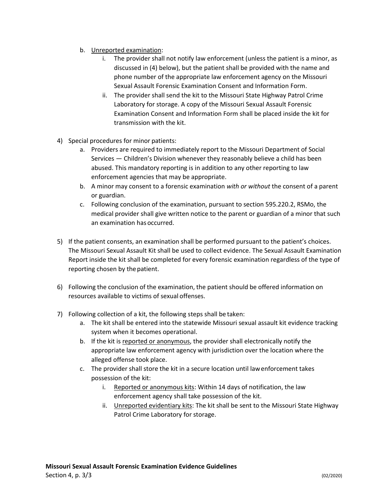- b. Unreported examination:
	- The provider shall not notify law enforcement (unless the patient is a minor, as discussed in (4) below), but the patient shall be provided with the name and phone number of the appropriate law enforcement agency on the Missouri Sexual Assault Forensic Examination Consent and Information Form.
	- ii. The provider shall send the kit to the Missouri State Highway Patrol Crime Laboratory for storage. A copy of the Missouri Sexual Assault Forensic Examination Consent and Information Form shall be placed inside the kit for transmission with the kit.
- 4) Special procedures for minor patients:
	- a. Providers are required to immediately report to the Missouri Department of Social Services — Children's Division whenever they reasonably believe a child has been abused. This mandatory reporting is in addition to any other reporting to law enforcement agencies that may be appropriate.
	- b. A minor may consent to a forensic examination *with or without* the consent of a parent or guardian.
	- c. Following conclusion of the examination, pursuant to section 595.220.2, RSMo, the medical provider shall give written notice to the parent or guardian of a minor that such an examination has occurred.
- 5) If the patient consents, an examination shall be performed pursuant to the patient's choices. The Missouri Sexual Assault Kit shall be used to collect evidence. The Sexual Assault Examination Report inside the kit shall be completed for every forensic examination regardless of the type of reporting chosen by the patient.
- 6) Following the conclusion of the examination, the patient should be offered information on resources available to victims of sexual offenses.
- 7) Following collection of a kit, the following steps shall be taken:
	- a. The kit shall be entered into the statewide Missouri sexual assault kit evidence tracking system when it becomes operational.
	- b. If the kit is reported or anonymous, the provider shall electronically notify the appropriate law enforcement agency with jurisdiction over the location where the alleged offense took place.
	- c. The provider shall store the kit in a secure location until lawenforcement takes possession of the kit:
		- i. Reported or anonymous kits: Within 14 days of notification, the law enforcement agency shall take possession of the kit.
		- ii. Unreported evidentiary kits: The kit shall be sent to the Missouri State Highway Patrol Crime Laboratory for storage.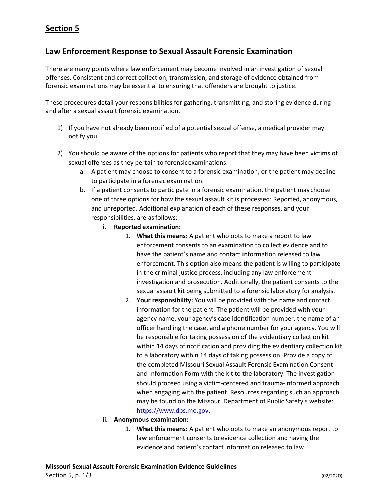#### **Law Enforcement Response to Sexual Assault Forensic Examination**

There are many points where law enforcement may become involved in an investigation of sexual offenses. Consistent and correct collection, transmission, and storage of evidence obtained from forensic examinations may be essential to ensuring that offenders are brought to justice.

These procedures detail your responsibilities for gathering, transmitting, and storing evidence during and after a sexual assault forensic examination.

- 1) If you have not already been notified of a potential sexual offense, a medical provider may notify you.
- 2) You should be aware of the options for patients who report that they may have been victims of sexual offenses as they pertain to forensicexaminations:
	- a. A patient may choose to consent to a forensic examination, or the patient may decline to participate in a forensic examination.
	- b. If a patient consents to participate in a forensic examination, the patient maychoose one of three options for how the sexual assault kit is processed: Reported, anonymous, and unreported. Additional explanation of each of these responses, and your responsibilities, are asfollows:
		- **i. Reported examination:**
			- 1. **What this means:** A patient who opts to make a report to law enforcement consents to an examination to collect evidence and to have the patient's name and contact information released to law enforcement. This option also means the patient is willing to participate in the criminal justice process, including any law enforcement investigation and prosecution. Additionally, the patient consents to the sexual assault kit being submitted to a forensic laboratory for analysis.
			- 2. **Your responsibility:** You will be provided with the name and contact information for the patient. The patient will be provided with your agency name, your agency's case identification number, the name of an officer handling the case, and a phone number for your agency. You will be responsible for taking possession of the evidentiary collection kit within 14 days of notification and providing the evidentiary collection kit to a laboratory within 14 days of taking possession. Provide a copy of the completed Missouri Sexual Assault Forensic Examination Consent and Information Form with the kit to the laboratory. The investigation should proceed using a victim-centered and trauma-informed approach when engaging with the patient. Resources regarding such an approach may be found on the Missouri Department of Public Safety's website: [https://www.dps.mo.gov.](https://www.dps.mo.gov/)
		- **ii. Anonymous examination:**
			- 1. **What this means:** A patient who opts to make an anonymous report to law enforcement consents to evidence collection and having the evidence and patient's contact information released to law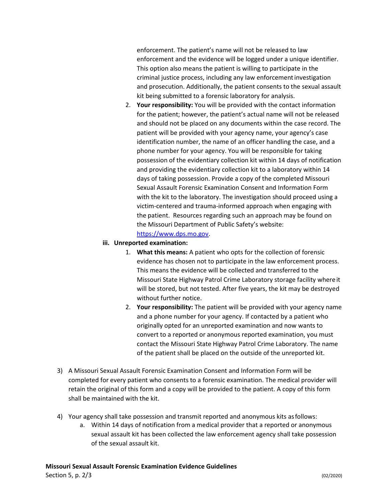enforcement. The patient's name will not be released to law enforcement and the evidence will be logged under a unique identifier. This option also means the patient is willing to participate in the criminal justice process, including any law enforcementinvestigation and prosecution. Additionally, the patient consents to the sexual assault kit being submitted to a forensic laboratory for analysis.

2. **Your responsibility:** You will be provided with the contact information for the patient; however, the patient's actual name will not be released and should not be placed on any documents within the case record. The patient will be provided with your agency name, your agency's case identification number, the name of an officer handling the case, and a phone number for your agency. You will be responsible for taking possession of the evidentiary collection kit within 14 days of notification and providing the evidentiary collection kit to a laboratory within 14 days of taking possession. Provide a copy of the completed Missouri Sexual Assault Forensic Examination Consent and Information Form with the kit to the laboratory. The investigation should proceed using a victim-centered and trauma-informed approach when engaging with the patient. Resources regarding such an approach may be found on the Missouri Department of Public Safety's website:

[https://www.dps.mo.gov.](https://www.dps.mo.gov/)

- **iii. Unreported examination:**
	- 1. **What this means:** A patient who opts for the collection of forensic evidence has chosen not to participate in the law enforcement process. This means the evidence will be collected and transferred to the Missouri State Highway Patrol Crime Laboratory storage facility where it will be stored, but not tested. After five years, the kit may be destroyed without further notice.
	- 2. **Your responsibility:** The patient will be provided with your agency name and a phone number for your agency. If contacted by a patient who originally opted for an unreported examination and now wants to convert to a reported or anonymous reported examination, you must contact the Missouri State Highway Patrol Crime Laboratory. The name of the patient shall be placed on the outside of the unreported kit.
- 3) A Missouri Sexual Assault Forensic Examination Consent and Information Form will be completed for every patient who consents to a forensic examination. The medical provider will retain the original of this form and a copy will be provided to the patient. A copy of this form shall be maintained with the kit.
- 4) Your agency shall take possession and transmit reported and anonymous kits asfollows:
	- a. Within 14 days of notification from a medical provider that a reported or anonymous sexual assault kit has been collected the law enforcement agency shall take possession of the sexual assault kit.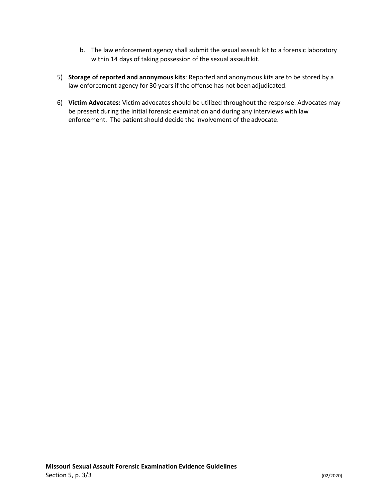- b. The law enforcement agency shall submit the sexual assault kit to a forensic laboratory within 14 days of taking possession of the sexual assault kit.
- 5) **Storage of reported and anonymous kits**: Reported and anonymous kits are to be stored by a law enforcement agency for 30 years if the offense has not beenadjudicated.
- 6) **Victim Advocates:** Victim advocates should be utilized throughout the response. Advocates may be present during the initial forensic examination and during any interviews with law enforcement. The patient should decide the involvement of the advocate.